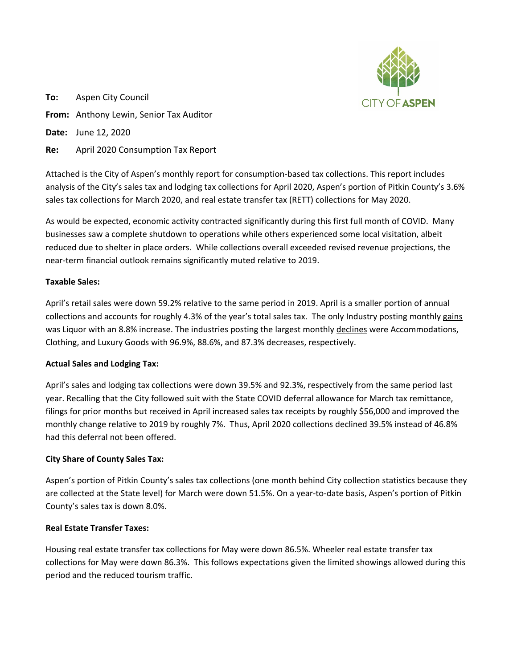

**To:** Aspen City Council **From:** Anthony Lewin, Senior Tax Auditor **Date:** June 12, 2020

**Re:** April 2020 Consumption Tax Report

Attached is the City of Aspen's monthly report for consumption-based tax collections. This report includes analysis of the City's sales tax and lodging tax collections for April 2020, Aspen's portion of Pitkin County's 3.6% sales tax collections for March 2020, and real estate transfer tax (RETT) collections for May 2020.

As would be expected, economic activity contracted significantly during this first full month of COVID. Many businesses saw a complete shutdown to operations while others experienced some local visitation, albeit reduced due to shelter in place orders. While collections overall exceeded revised revenue projections, the near-term financial outlook remains significantly muted relative to 2019.

# **Taxable Sales:**

April's retail sales were down 59.2% relative to the same period in 2019. April is a smaller portion of annual collections and accounts for roughly 4.3% of the year's total sales tax. The only Industry posting monthly gains was Liquor with an 8.8% increase. The industries posting the largest monthly declines were Accommodations, Clothing, and Luxury Goods with 96.9%, 88.6%, and 87.3% decreases, respectively.

# **Actual Sales and Lodging Tax:**

April's sales and lodging tax collections were down 39.5% and 92.3%, respectively from the same period last year. Recalling that the City followed suit with the State COVID deferral allowance for March tax remittance, filings for prior months but received in April increased sales tax receipts by roughly \$56,000 and improved the monthly change relative to 2019 by roughly 7%. Thus, April 2020 collections declined 39.5% instead of 46.8% had this deferral not been offered.

# **City Share of County Sales Tax:**

Aspen's portion of Pitkin County's sales tax collections (one month behind City collection statistics because they are collected at the State level) for March were down 51.5%. On a year-to-date basis, Aspen's portion of Pitkin County's sales tax is down 8.0%.

# **Real Estate Transfer Taxes:**

Housing real estate transfer tax collections for May were down 86.5%. Wheeler real estate transfer tax collections for May were down 86.3%. This follows expectations given the limited showings allowed during this period and the reduced tourism traffic.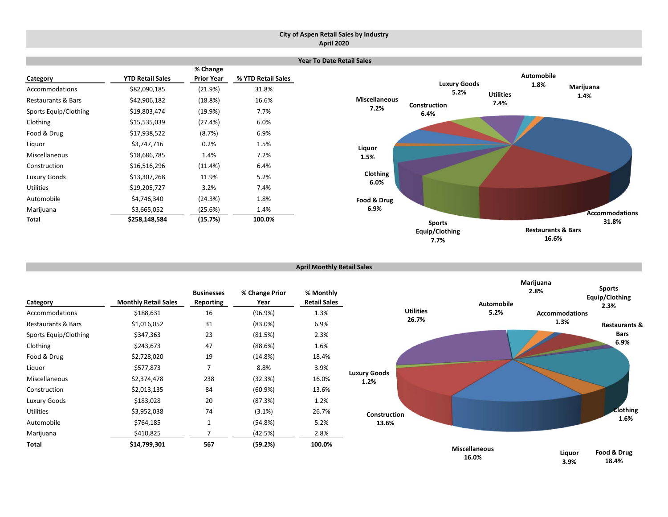#### **City of Aspen Retail Sales by Industry April 2020**

|                               |                         |                               |                    | <b>Year To Date Retail Sales</b> |                             |                                       |  |
|-------------------------------|-------------------------|-------------------------------|--------------------|----------------------------------|-----------------------------|---------------------------------------|--|
| Category                      | <b>YTD Retail Sales</b> | % Change<br><b>Prior Year</b> | % YTD Retail Sales |                                  |                             | <b>Automobile</b>                     |  |
| Accommodations                | \$82,090,185            | (21.9%)                       | 31.8%              |                                  | <b>Luxury Goods</b><br>5.2% | 1.8%<br>Marijuana<br><b>Utilities</b> |  |
| <b>Restaurants &amp; Bars</b> | \$42,906,182            | (18.8%)                       | 16.6%              | <b>Miscellaneous</b><br>7.2%     | <b>Construction</b>         | 1.4%<br>7.4%                          |  |
| Sports Equip/Clothing         | \$19,803,474            | (19.9%)                       | 7.7%               |                                  | 6.4%                        |                                       |  |
| Clothing                      | \$15,535,039            | (27.4%)                       | 6.0%               |                                  |                             |                                       |  |
| Food & Drug                   | \$17,938,522            | (8.7%)                        | 6.9%               |                                  |                             |                                       |  |
| Liquor                        | \$3,747,716             | 0.2%                          | 1.5%               | Liquor                           |                             |                                       |  |
| Miscellaneous                 | \$18,686,785            | 1.4%                          | 7.2%               | 1.5%                             |                             |                                       |  |
| Construction                  | \$16,516,296            | (11.4%)                       | 6.4%               |                                  |                             |                                       |  |
| Luxury Goods                  | \$13,307,268            | 11.9%                         | 5.2%               | Clothing<br>6.0%                 |                             |                                       |  |
| <b>Utilities</b>              | \$19,205,727            | 3.2%                          | 7.4%               |                                  |                             |                                       |  |
| Automobile                    | \$4,746,340             | (24.3%)                       | 1.8%               | Food & Drug                      |                             |                                       |  |
| Marijuana                     | \$3,665,052             | (25.6%)                       | 1.4%               | 6.9%                             |                             | <b>Accommodations</b>                 |  |
| Total                         | \$258,148,584           | (15.7%)                       | 100.0%             |                                  | <b>Sports</b>               | 31.8%                                 |  |
|                               |                         |                               |                    |                                  | Equip/Clothing              | <b>Restaurants &amp; Bars</b>         |  |

```
April Monthly Retail Sales
```

| Category                      | <b>Monthly Retail Sales</b> | <b>Businesses</b><br>Reporting | % Change Prior<br>Year | % Monthly<br><b>Retail Sales</b> |       |
|-------------------------------|-----------------------------|--------------------------------|------------------------|----------------------------------|-------|
| Accommodations                | \$188,631                   | 16                             | (96.9%)                | 1.3%                             |       |
| <b>Restaurants &amp; Bars</b> | \$1,016,052                 | 31                             | $(83.0\%)$             | 6.9%                             |       |
| Sports Equip/Clothing         | \$347,363                   | 23                             | (81.5%)                | 2.3%                             |       |
| Clothing                      | \$243,673                   | 47                             | (88.6%)                | 1.6%                             |       |
| Food & Drug                   | \$2,728,020                 | 19                             | (14.8%)                | 18.4%                            |       |
| Liguor                        | \$577,873                   | 7                              | 8.8%                   | 3.9%                             | Luxur |
| Miscellaneous                 | \$2,374,478                 | 238                            | (32.3%)                | 16.0%                            | 1     |
| Construction                  | \$2,013,135                 | 84                             | $(60.9\%)$             | 13.6%                            |       |
| Luxury Goods                  | \$183,028                   | 20                             | (87.3%)                | 1.2%                             |       |
| <b>Utilities</b>              | \$3,952,038                 | 74                             | $(3.1\%)$              | 26.7%                            |       |
| Automobile                    | \$764,185                   | 1                              | (54.8%)                | 5.2%                             |       |
| Marijuana                     | \$410,825                   | 7                              | (42.5%)                | 2.8%                             |       |
| Total                         | \$14,799,301                | 567                            | (59.2%)                | 100.0%                           |       |



**7.7%**

**16.6%**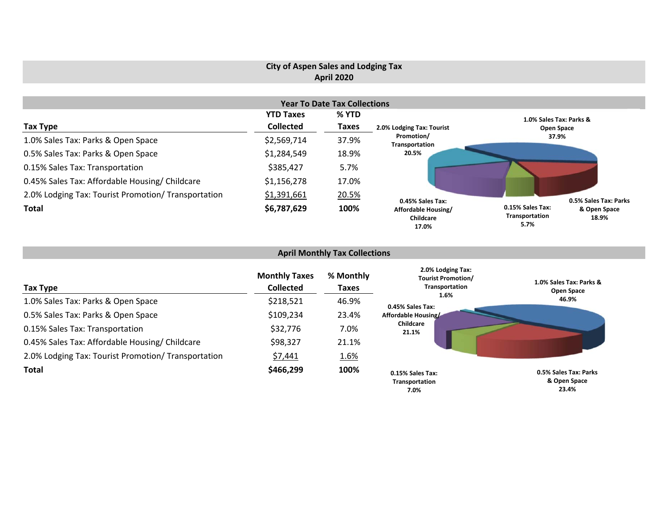# **City of Aspen Sales and Lodging Tax April 2020**

|                                                     |                  | <b>Year To Date Tax Collections</b> |                                           |                                            |                       |
|-----------------------------------------------------|------------------|-------------------------------------|-------------------------------------------|--------------------------------------------|-----------------------|
|                                                     | <b>YTD Taxes</b> | % YTD                               |                                           | 1.0% Sales Tax: Parks &                    |                       |
| Tax Type                                            | <b>Collected</b> | <b>Taxes</b>                        | 2.0% Lodging Tax: Tourist                 | Open Space                                 |                       |
| 1.0% Sales Tax: Parks & Open Space                  | \$2,569,714      | 37.9%                               | Promotion/<br>Transportation              | 37.9%                                      |                       |
| 0.5% Sales Tax: Parks & Open Space                  | \$1,284,549      | 18.9%                               | 20.5%                                     |                                            |                       |
| 0.15% Sales Tax: Transportation                     | \$385,427        | 5.7%                                |                                           |                                            |                       |
| 0.45% Sales Tax: Affordable Housing/ Childcare      | \$1,156,278      | 17.0%                               |                                           |                                            |                       |
| 2.0% Lodging Tax: Tourist Promotion/ Transportation | \$1,391,661      | 20.5%                               | 0.45% Sales Tax:                          |                                            | 0.5% Sales Tax: Parks |
| <b>Total</b>                                        | \$6,787,629      | 100%                                | Affordable Housing/<br>Childcare<br>17.0% | 0.15% Sales Tax:<br>Transportation<br>5.7% | & Open Space<br>18.9% |

# **April Monthly Tax Collections**

| Tax Type                                            | <b>Monthly Taxes</b><br><b>Collected</b> | % Monthly<br>Taxes | 2.0% Lodging Tax:<br><b>Tourist Promotion/</b><br>Transportation | 1.0% Sales Tax: Parks &<br>Open Space          |
|-----------------------------------------------------|------------------------------------------|--------------------|------------------------------------------------------------------|------------------------------------------------|
| 1.0% Sales Tax: Parks & Open Space                  | \$218,521                                | 46.9%              | 1.6%<br>0.45% Sales Tax:                                         | 46.9%                                          |
| 0.5% Sales Tax: Parks & Open Space                  | \$109,234                                | 23.4%              | Affordable Housing/                                              |                                                |
| 0.15% Sales Tax: Transportation                     | \$32,776                                 | 7.0%               | Childcare<br>21.1%                                               |                                                |
| 0.45% Sales Tax: Affordable Housing/ Childcare      | \$98,327                                 | 21.1%              |                                                                  |                                                |
| 2.0% Lodging Tax: Tourist Promotion/ Transportation | \$7,441                                  | 1.6%               |                                                                  |                                                |
| <b>Total</b>                                        | \$466,299                                | 100%               | 0.15% Sales Tax:<br>Transportation<br>7.0%                       | 0.5% Sales Tax: Parks<br>& Open Space<br>23.4% |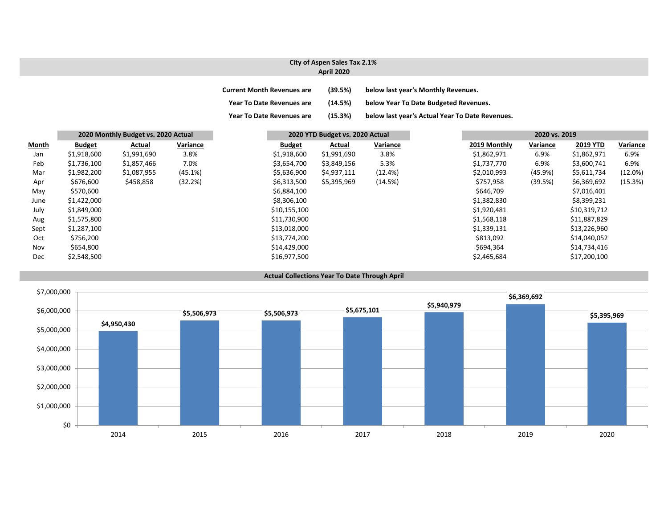### **City of Aspen Sales Tax 2.1% April 2020**

| <b>Current Month Revenues are</b> | (39.5%) | below last year's Monthly Revenues.             |
|-----------------------------------|---------|-------------------------------------------------|
| <b>Year To Date Revenues are</b>  | (14.5%) | below Year To Date Budgeted Revenues.           |
| <b>Year To Date Revenues are</b>  | (15.3%) | below last year's Actual Year To Date Revenues. |

|       |               | 2020 Monthly Budget vs. 2020 Actual |          | 2020 YTD Budget vs. 2020 Actual |             |          |  | 2020 vs. 2019 |          |                 |          |  |
|-------|---------------|-------------------------------------|----------|---------------------------------|-------------|----------|--|---------------|----------|-----------------|----------|--|
| Month | <b>Budget</b> | Actual                              | Variance | <b>Budget</b>                   | Actual      | Variance |  | 2019 Monthly  | Variance | <b>2019 YTD</b> | Variance |  |
| Jan   | \$1,918,600   | \$1,991,690                         | 3.8%     | \$1,918,600                     | \$1,991,690 | 3.8%     |  | \$1,862,971   | 6.9%     | \$1,862,971     | 6.9%     |  |
| Feb   | \$1,736,100   | \$1,857,466                         | 7.0%     | \$3,654,700                     | \$3,849,156 | 5.3%     |  | \$1,737,770   | 6.9%     | \$3,600,741     | 6.9%     |  |
| Mar   | \$1,982,200   | \$1,087,955                         | (45.1%)  | \$5,636,900                     | \$4,937,111 | (12.4%)  |  | \$2,010,993   | (45.9%)  | \$5,611,734     | (12.0%)  |  |
| Apr   | \$676,600     | \$458,858                           | (32.2%)  | \$6,313,500                     | \$5,395,969 | (14.5%)  |  | \$757,958     | (39.5%)  | \$6,369,692     | (15.3%)  |  |
| May   | \$570,600     |                                     |          | \$6,884,100                     |             |          |  | \$646,709     |          | \$7,016,401     |          |  |
| June  | \$1,422,000   |                                     |          | \$8,306,100                     |             |          |  | \$1,382,830   |          | \$8,399,231     |          |  |
| July  | \$1,849,000   |                                     |          | \$10,155,100                    |             |          |  | \$1,920,481   |          | \$10,319,712    |          |  |
| Aug   | \$1,575,800   |                                     |          | \$11,730,900                    |             |          |  | \$1,568,118   |          | \$11,887,829    |          |  |
| Sept  | \$1,287,100   |                                     |          | \$13,018,000                    |             |          |  | \$1,339,131   |          | \$13,226,960    |          |  |
| Oct   | \$756,200     |                                     |          | \$13,774,200                    |             |          |  | \$813,092     |          | \$14,040,052    |          |  |
| Nov   | \$654,800     |                                     |          | \$14,429,000                    |             |          |  | \$694,364     |          | \$14,734,416    |          |  |
| Dec   | \$2,548,500   |                                     |          | \$16,977,500                    |             |          |  | \$2,465,684   |          | \$17,200,100    |          |  |



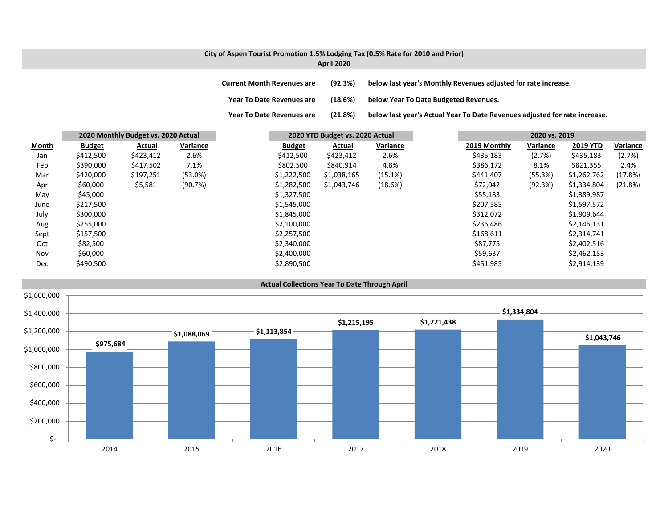#### **City of Aspen Tourist Promotion 1.5% Lodging Tax (0.5% Rate for 2010 and Prior) April 2020**

**Current MonthRevenues are (92.3%) below last year's Monthly Revenues adjusted for rate increase.**

**Year ToDate Revenues are (18.6%) below Year To Date Budgeted Revenues.**

**Year To**(21.8%) below last year's Actual Year To Date Revenues adjusted for rate increase.

|       |               | 2020 Monthly Budget vs. 2020 Actual |          |               | 2020 YTD Budget vs. 2020 Actual |          |              | 2020 vs. 2019 |                 |          |
|-------|---------------|-------------------------------------|----------|---------------|---------------------------------|----------|--------------|---------------|-----------------|----------|
| Month | <b>Budget</b> | Actual                              | Variance | <b>Budget</b> | Actual                          | Variance | 2019 Monthly | Variance      | <b>2019 YTD</b> | Variance |
| Jan   | \$412,500     | \$423,412                           | 2.6%     | \$412,500     | \$423,412                       | 2.6%     | \$435,183    | (2.7%)        | \$435,183       | (2.7%)   |
| Feb   | \$390,000     | \$417,502                           | 7.1%     | \$802,500     | \$840,914                       | 4.8%     | \$386,172    | 8.1%          | \$821,355       | 2.4%     |
| Mar   | \$420,000     | \$197,251                           | (53.0%)  | \$1,222,500   | \$1,038,165                     | (15.1%)  | \$441,407    | (55.3%)       | \$1,262,762     | (17.8%)  |
| Apr   | \$60,000      | \$5,581                             | (90.7%)  | \$1,282,500   | \$1,043,746                     | (18.6%)  | \$72,042     | (92.3%)       | \$1,334,804     | (21.8%)  |
| May   | \$45,000      |                                     |          | \$1,327,500   |                                 |          | \$55,183     |               | \$1,389,987     |          |
| June  | \$217,500     |                                     |          | \$1,545,000   |                                 |          | \$207,585    |               | \$1,597,572     |          |
| July  | \$300,000     |                                     |          | \$1,845,000   |                                 |          | \$312,072    |               | \$1,909,644     |          |
| Aug   | \$255,000     |                                     |          | \$2,100,000   |                                 |          | \$236,486    |               | \$2,146,131     |          |
| Sept  | \$157,500     |                                     |          | \$2,257,500   |                                 |          | \$168,611    |               | \$2,314,741     |          |
| Oct   | \$82,500      |                                     |          | \$2,340,000   |                                 |          | \$87,775     |               | \$2,402,516     |          |
| Nov   | \$60,000      |                                     |          | \$2,400,000   |                                 |          | \$59,637     |               | \$2,462,153     |          |
| Dec   | \$490,500     |                                     |          | \$2,890,500   |                                 |          | \$451,985    |               | \$2,914,139     |          |

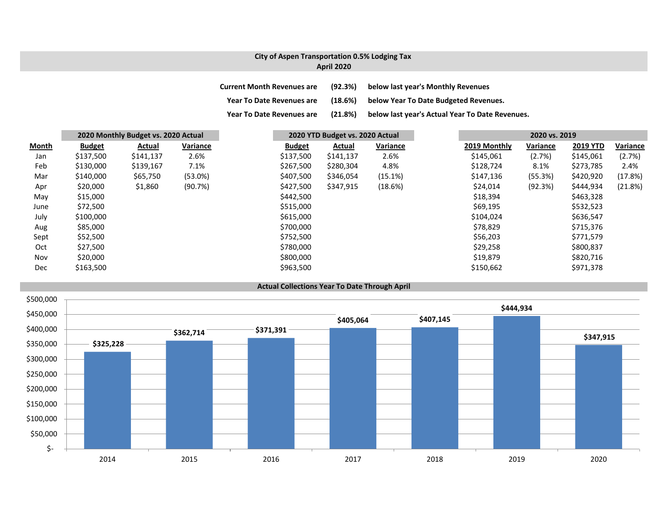## **City of Aspen Transportation 0.5% Lodging Tax April 2020**

| <b>Current Month Revenues are</b> | (92.3%) | below last year's Monthly Revenues              |
|-----------------------------------|---------|-------------------------------------------------|
| <b>Year To Date Revenues are</b>  | (18.6%) | below Year To Date Budgeted Revenues.           |
| <b>Year To Date Revenues are</b>  | (21.8%) | below last year's Actual Year To Date Revenues. |

|              |               | 2020 Monthly Budget vs. 2020 Actual |          |               | 2020 YTD Budget vs. 2020 Actual |          |  | 2020 vs. 2019 |          |                 |          |
|--------------|---------------|-------------------------------------|----------|---------------|---------------------------------|----------|--|---------------|----------|-----------------|----------|
| <b>Month</b> | <b>Budget</b> | Actual                              | Variance | <b>Budget</b> | <b>Actual</b>                   | Variance |  | 2019 Monthly  | Variance | <b>2019 YTD</b> | Variance |
| Jan          | \$137,500     | \$141,137                           | 2.6%     | \$137,500     | \$141,137                       | 2.6%     |  | \$145,061     | (2.7%)   | \$145,061       | (2.7%)   |
| Feb          | \$130,000     | \$139,167                           | 7.1%     | \$267,500     | \$280,304                       | 4.8%     |  | \$128,724     | 8.1%     | \$273,785       | 2.4%     |
| Mar          | \$140,000     | \$65,750                            | (53.0%)  | \$407,500     | \$346,054                       | (15.1%)  |  | \$147,136     | (55.3%)  | \$420,920       | (17.8%)  |
| Apr          | \$20,000      | \$1,860                             | (90.7%)  | \$427,500     | \$347,915                       | (18.6%)  |  | \$24,014      | (92.3%)  | \$444,934       | (21.8%)  |
| May          | \$15,000      |                                     |          | \$442,500     |                                 |          |  | \$18,394      |          | \$463,328       |          |
| June         | \$72,500      |                                     |          | \$515,000     |                                 |          |  | \$69,195      |          | \$532,523       |          |
| July         | \$100,000     |                                     |          | \$615,000     |                                 |          |  | \$104,024     |          | \$636,547       |          |
| Aug          | \$85,000      |                                     |          | \$700,000     |                                 |          |  | \$78,829      |          | \$715,376       |          |
| Sept         | \$52,500      |                                     |          | \$752,500     |                                 |          |  | \$56,203      |          | \$771,579       |          |
| Oct          | \$27,500      |                                     |          | \$780,000     |                                 |          |  | \$29,258      |          | \$800,837       |          |
| Nov          | \$20,000      |                                     |          | \$800,000     |                                 |          |  | \$19,879      |          | \$820,716       |          |
| Dec          | \$163,500     |                                     |          | \$963,500     |                                 |          |  | \$150,662     |          | \$971,378       |          |

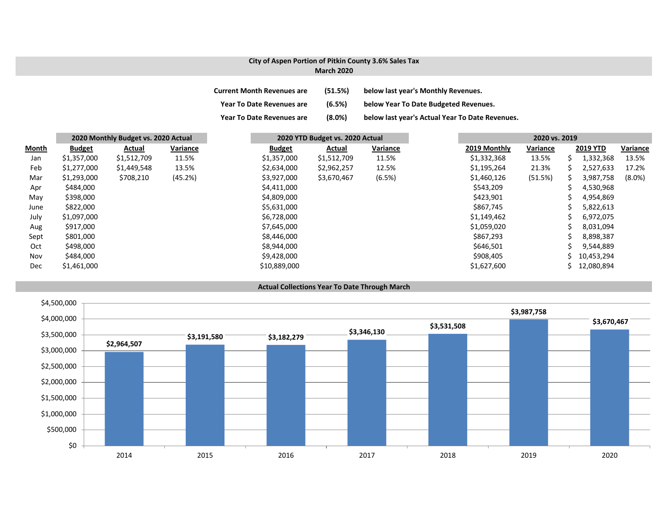#### **City of Aspen Portion of Pitkin County 3.6% Sales Tax March 2020**

| Current Month Revenues are       | (51.5%) | below last year's Monthly Revenues.             |
|----------------------------------|---------|-------------------------------------------------|
| <b>Year To Date Revenues are</b> | (6.5%)  | below Year To Date Budgeted Revenues.           |
| <b>Year To Date Revenues are</b> | (8.0%)  | below last year's Actual Year To Date Revenues. |

|              | 2020 Monthly Budget vs. 2020 Actual |             |          | 2020 YTD Budget vs. 2020 Actual |             |          | 2020 vs. 2019 |          |                 |           |
|--------------|-------------------------------------|-------------|----------|---------------------------------|-------------|----------|---------------|----------|-----------------|-----------|
| <b>Month</b> | <b>Budget</b>                       | Actual      | Variance | <b>Budget</b>                   | Actual      | Variance | 2019 Monthly  | Variance | <b>2019 YTD</b> | Variance  |
| Jan          | \$1,357,000                         | \$1,512,709 | 11.5%    | \$1,357,000                     | \$1,512,709 | 11.5%    | \$1,332,368   | 13.5%    | 1,332,368       | 13.5%     |
| Feb          | \$1,277,000                         | \$1,449,548 | 13.5%    | \$2,634,000                     | \$2,962,257 | 12.5%    | \$1,195,264   | 21.3%    | 2,527,633       | 17.2%     |
| Mar          | \$1,293,000                         | \$708,210   | (45.2%)  | \$3,927,000                     | \$3,670,467 | (6.5%)   | \$1,460,126   | (51.5%)  | 3,987,758       | $(8.0\%)$ |
| Apr          | \$484,000                           |             |          | \$4,411,000                     |             |          | \$543,209     |          | 4,530,968       |           |
| May          | \$398,000                           |             |          | \$4,809,000                     |             |          | \$423,901     |          | 4,954,869       |           |
| June         | \$822,000                           |             |          | \$5,631,000                     |             |          | \$867,745     |          | 5,822,613       |           |
| July         | \$1,097,000                         |             |          | \$6,728,000                     |             |          | \$1,149,462   |          | 6,972,075       |           |
| Aug          | \$917,000                           |             |          | \$7,645,000                     |             |          | \$1,059,020   |          | 8,031,094       |           |
| Sept         | \$801,000                           |             |          | \$8,446,000                     |             |          | \$867,293     |          | 8,898,387       |           |
| Oct          | \$498,000                           |             |          | \$8,944,000                     |             |          | \$646,501     |          | 9,544,889       |           |
| Nov          | \$484,000                           |             |          | \$9,428,000                     |             |          | \$908,405     |          | 10,453,294      |           |
| Dec          | \$1,461,000                         |             |          | \$10,889,000                    |             |          | \$1,627,600   |          | 12,080,894      |           |

#### **Actual Collections Year To Date Through March**

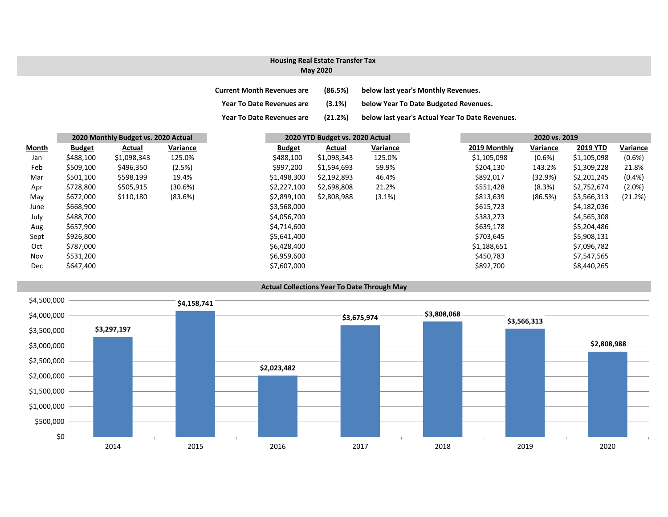## **Housing Real Estate Transfer Tax**

### **May 2020**

| <b>Current Month Revenues are</b> | (86.5%) | below last year's Monthly Revenues.             |
|-----------------------------------|---------|-------------------------------------------------|
| <b>Year To Date Revenues are</b>  | (3.1%)  | below Year To Date Budgeted Revenues.           |
| <b>Year To Date Revenues are</b>  | (21.2%) | below last year's Actual Year To Date Revenues. |

|              | 2020 Monthly Budget vs. 2020 Actual |             |          | 2020 YTD Budget vs. 2020 Actual |             |          |              |           |                 | 2020 vs. 2019 |  |
|--------------|-------------------------------------|-------------|----------|---------------------------------|-------------|----------|--------------|-----------|-----------------|---------------|--|
| <b>Month</b> | <b>Budget</b>                       | Actual      | Variance | <b>Budget</b>                   | Actual      | Variance | 2019 Monthly | Variance  | <b>2019 YTD</b> |               |  |
| Jan          | \$488,100                           | \$1,098,343 | 125.0%   | \$488,100                       | \$1,098,343 | 125.0%   | \$1,105,098  | $(0.6\%)$ | \$1,105,098     |               |  |
| Feb          | \$509,100                           | \$496,350   | (2.5%)   | \$997,200                       | \$1,594,693 | 59.9%    | \$204,130    | 143.2%    | \$1,309,228     |               |  |
| Mar          | \$501,100                           | \$598,199   | 19.4%    | \$1,498,300                     | \$2,192,893 | 46.4%    | \$892,017    | (32.9%)   | \$2,201,245     |               |  |
| Apr          | \$728,800                           | \$505,915   | (30.6%)  | \$2,227,100                     | \$2,698,808 | 21.2%    | \$551,428    | (8.3%)    | \$2,752,674     |               |  |
| May          | \$672,000                           | \$110,180   | (83.6%)  | \$2,899,100                     | \$2,808,988 | (3.1%)   | \$813,639    | (86.5%)   | \$3,566,313     |               |  |
| June         | \$668,900                           |             |          | \$3,568,000                     |             |          | \$615,723    |           | \$4,182,036     |               |  |
| July         | \$488,700                           |             |          | \$4,056,700                     |             |          | \$383,273    |           | \$4,565,308     |               |  |
| Aug          | \$657,900                           |             |          | \$4,714,600                     |             |          | \$639,178    |           | \$5,204,486     |               |  |
| Sept         | \$926,800                           |             |          | \$5,641,400                     |             |          | \$703,645    |           | \$5,908,131     |               |  |
| Oct          | \$787,000                           |             |          | \$6,428,400                     |             |          | \$1,188,651  |           | \$7,096,782     |               |  |
| Nov          | \$531,200                           |             |          | \$6,959,600                     |             |          | \$450,783    |           | \$7,547,565     |               |  |
| <b>Dec</b>   | \$647,400                           |             |          | \$7,607,000                     |             |          | \$892,700    |           | \$8,440,265     |               |  |

#### **Actual Collections Year To Date Through May**